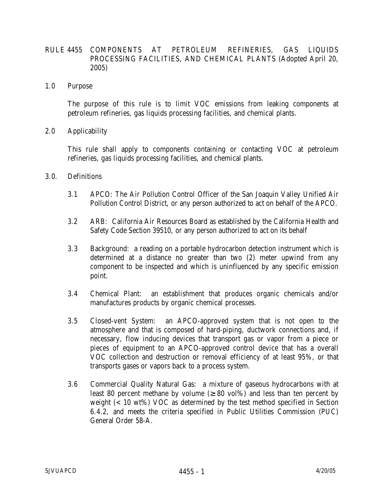# RULE 4455 COMPONENTS AT PETROLEUM REFINERIES, GAS LIQUIDS PROCESSING FACILITIES, AND CHEMICAL PLANTS (Adopted April 20, 2005)

1.0 Purpose

 The purpose of this rule is to limit VOC emissions from leaking components at petroleum refineries, gas liquids processing facilities, and chemical plants.

2.0 Applicability

This rule shall apply to components containing or contacting VOC at petroleum refineries, gas liquids processing facilities, and chemical plants.

- 3.0. Definitions
	- 3.1 APCO: The Air Pollution Control Officer of the San Joaquin Valley Unified Air Pollution Control District, or any person authorized to act on behalf of the APCO.
	- 3.2 ARB: California Air Resources Board as established by the California Health and Safety Code Section 39510, or any person authorized to act on its behalf
	- 3.3 Background: a reading on a portable hydrocarbon detection instrument which is determined at a distance no greater than two (2) meter upwind from any component to be inspected and which is uninfluenced by any specific emission point.
	- 3.4 Chemical Plant: an establishment that produces organic chemicals and/or manufactures products by organic chemical processes.
	- 3.5 Closed-vent System: an APCO-approved system that is not open to the atmosphere and that is composed of hard-piping, ductwork connections and, if necessary, flow inducing devices that transport gas or vapor from a piece or pieces of equipment to an APCO-approved control device that has a overall VOC collection and destruction or removal efficiency of at least 95%, or that transports gases or vapors back to a process system.
	- 3.6 Commercial Quality Natural Gas: a mixture of gaseous hydrocarbons with at least 80 percent methane by volume  $( \geq 80 \text{ vol})\%$  and less than ten percent by weight (<10 wt%) VOC as determined by the test method specified in Section 6.4.2, and meets the criteria specified in Public Utilities Commission (PUC) General Order 58-A.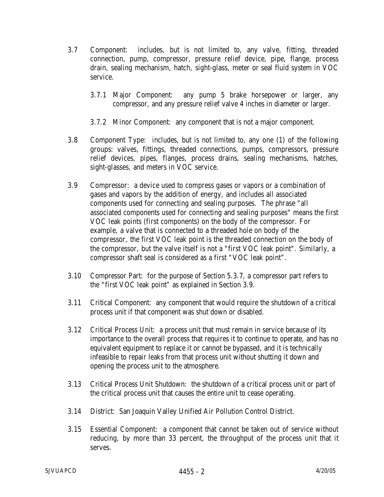- 3.7 Component: includes, but is not limited to, any valve, fitting, threaded connection, pump, compressor, pressure relief device, pipe, flange, process drain, sealing mechanism, hatch, sight-glass, meter or seal fluid system in VOC service.
	- 3.7.1 Major Component: any pump 5 brake horsepower or larger, any compressor, and any pressure relief valve 4 inches in diameter or larger.
	- 3.7.2 Minor Component: any component that is not a major component.
- 3.8 Component Type: includes, but is not limited to, any one (1) of the following groups: valves, fittings, threaded connections, pumps, compressors, pressure relief devices, pipes, flanges, process drains, sealing mechanisms, hatches, sight-glasses, and meters in VOC service.
- 3.9 Compressor: a device used to compress gases or vapors or a combination of gases and vapors by the addition of energy, and includes all associated components used for connecting and sealing purposes. The phrase "all associated components used for connecting and sealing purposes" means the first VOC leak points (first components) on the body of the compressor. For example, a valve that is connected to a threaded hole on body of the compressor, the first VOC leak point is the threaded connection on the body of the compressor, but the valve itself is not a "first VOC leak point". Similarly, a compressor shaft seal is considered as a first "VOC leak point".
- 3.10 Compressor Part: for the purpose of Section 5.3.7, a compressor part refers to the "first VOC leak point" as explained in Section 3.9.
- 3.11 Critical Component: any component that would require the shutdown of a critical process unit if that component was shut down or disabled.
- 3.12 Critical Process Unit: a process unit that must remain in service because of its importance to the overall process that requires it to continue to operate, and has no equivalent equipment to replace it or cannot be bypassed, and it is technically infeasible to repair leaks from that process unit without shutting it down and opening the process unit to the atmosphere.
- 3.13 Critical Process Unit Shutdown: the shutdown of a critical process unit or part of the critical process unit that causes the entire unit to cease operating.
- 3.14 District: San Joaquin Valley Unified Air Pollution Control District.
- 3.15 Essential Component: a component that cannot be taken out of service without reducing, by more than 33 percent, the throughput of the process unit that it serves.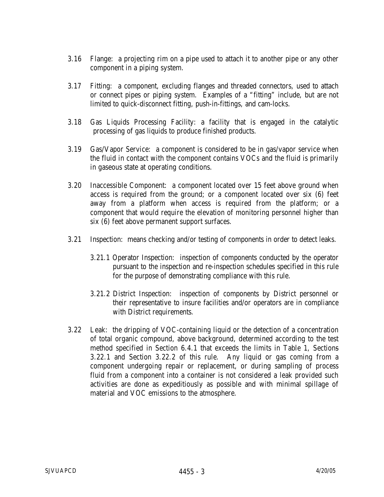- 3.16 Flange: a projecting rim on a pipe used to attach it to another pipe or any other component in a piping system.
- 3.17 Fitting: a component, excluding flanges and threaded connectors, used to attach or connect pipes or piping system. Examples of a "fitting" include, but are not limited to quick-disconnect fitting, push-in-fittings, and cam-locks.
- 3.18 Gas Liquids Processing Facility: a facility that is engaged in the catalytic processing of gas liquids to produce finished products.
- 3.19 Gas/Vapor Service: a component is considered to be in gas/vapor service when the fluid in contact with the component contains VOCs and the fluid is primarily in gaseous state at operating conditions.
- 3.20 Inaccessible Component: a component located over 15 feet above ground when access is required from the ground; or a component located over six (6) feet away from a platform when access is required from the platform; or a component that would require the elevation of monitoring personnel higher than six (6) feet above permanent support surfaces.
- 3.21 Inspection: means checking and/or testing of components in order to detect leaks.
	- 3.21.1 Operator Inspection: inspection of components conducted by the operator pursuant to the inspection and re-inspection schedules specified in this rule for the purpose of demonstrating compliance with this rule.
	- 3.21.2 District Inspection: inspection of components by District personnel or their representative to insure facilities and/or operators are in compliance with District requirements.
- 3.22 Leak: the dripping of VOC-containing liquid or the detection of a concentration of total organic compound, above background, determined according to the test method specified in Section 6.4.1 that exceeds the limits in Table 1, Sections 3.22.1 and Section 3.22.2 of this rule. Any liquid or gas coming from a component undergoing repair or replacement, or during sampling of process fluid from a component into a container is not considered a leak provided such activities are done as expeditiously as possible and with minimal spillage of material and VOC emissions to the atmosphere.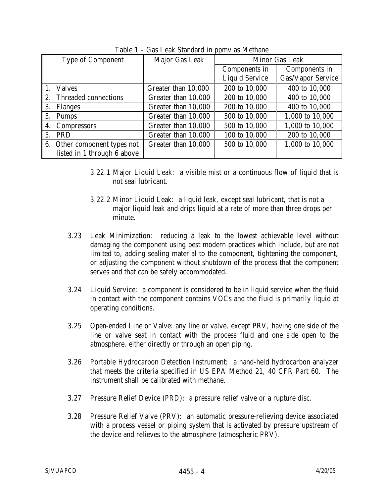| <b>Type of Component</b>     | Major Gas Leak      | <b>Minor Gas Leak</b> |                          |
|------------------------------|---------------------|-----------------------|--------------------------|
|                              |                     | Components in         | Components in            |
|                              |                     | <b>Liquid Service</b> | <b>Gas/Vapor Service</b> |
| <b>Valves</b>                | Greater than 10,000 | 200 to 10,000         | 400 to 10,000            |
| Threaded connections<br>2.   | Greater than 10,000 | 200 to 10,000         | 400 to 10,000            |
| 3.<br>Flanges                | Greater than 10,000 | 200 to 10,000         | 400 to 10,000            |
| 3.<br><b>Pumps</b>           | Greater than 10,000 | 500 to 10,000         | 1,000 to 10,000          |
| 4. Compressors               | Greater than 10,000 | 500 to 10,000         | 1,000 to 10,000          |
| 5. PRD                       | Greater than 10,000 | 100 to 10,000         | 200 to 10,000            |
| 6. Other component types not | Greater than 10,000 | 500 to 10,000         | 1,000 to 10,000          |
| listed in 1 through 6 above  |                     |                       |                          |

Table 1 – Gas Leak Standard in ppmv as Methane

- 3.22.1 Major Liquid Leak: a visible mist or a continuous flow of liquid that is not seal lubricant.
- 3.22.2 Minor Liquid Leak: a liquid leak, except seal lubricant, that is not a major liquid leak and drips liquid at a rate of more than three drops per minute.
- 3.23 Leak Minimization: reducing a leak to the lowest achievable level without damaging the component using best modern practices which include, but are not limited to, adding sealing material to the component, tightening the component, or adjusting the component without shutdown of the process that the component serves and that can be safely accommodated.
- 3.24 Liquid Service: a component is considered to be in liquid service when the fluid in contact with the component contains VOCs and the fluid is primarily liquid at operating conditions.
- 3.25 Open-ended Line or Valve: any line or valve, except PRV, having one side of the line or valve seat in contact with the process fluid and one side open to the atmosphere, either directly or through an open piping.
- 3.26 Portable Hydrocarbon Detection Instrument: a hand-held hydrocarbon analyzer that meets the criteria specified in US EPA Method 21, 40 CFR Part 60. The instrument shall be calibrated with methane.
- 3.27 Pressure Relief Device (PRD): a pressure relief valve or a rupture disc.
- 3.28 Pressure Relief Valve (PRV): an automatic pressure-relieving device associated with a process vessel or piping system that is activated by pressure upstream of the device and relieves to the atmosphere (atmospheric PRV).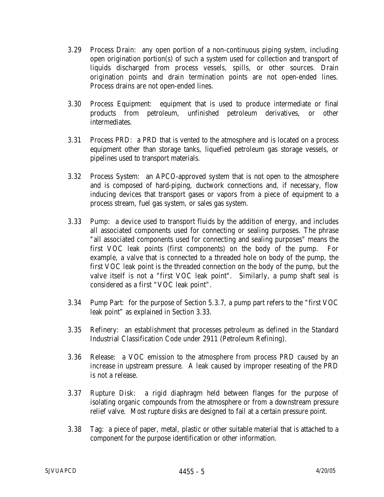- 3.29 Process Drain: any open portion of a non-continuous piping system, including open origination portion(s) of such a system used for collection and transport of liquids discharged from process vessels, spills, or other sources. Drain origination points and drain termination points are not open-ended lines. Process drains are not open-ended lines.
- 3.30 Process Equipment: equipment that is used to produce intermediate or final products from petroleum, unfinished petroleum derivatives, or other intermediates.
- 3.31 Process PRD: a PRD that is vented to the atmosphere and is located on a process equipment other than storage tanks, liquefied petroleum gas storage vessels, or pipelines used to transport materials.
- 3.32 Process System: an APCO-approved system that is not open to the atmosphere and is composed of hard-piping, ductwork connections and, if necessary, flow inducing devices that transport gases or vapors from a piece of equipment to a process stream, fuel gas system, or sales gas system.
- 3.33 Pump: a device used to transport fluids by the addition of energy, and includes all associated components used for connecting or sealing purposes. The phrase "all associated components used for connecting and sealing purposes" means the first VOC leak points (first components) on the body of the pump. For example, a valve that is connected to a threaded hole on body of the pump, the first VOC leak point is the threaded connection on the body of the pump, but the valve itself is not a "first VOC leak point". Similarly, a pump shaft seal is considered as a first "VOC leak point".
- 3.34 Pump Part: for the purpose of Section 5.3.7, a pump part refers to the "first VOC leak point" as explained in Section 3.33.
- 3.35 Refinery: an establishment that processes petroleum as defined in the Standard Industrial Classification Code under 2911 (Petroleum Refining).
- 3.36 Release: a VOC emission to the atmosphere from process PRD caused by an increase in upstream pressure. A leak caused by improper reseating of the PRD is not a release.
- 3.37 Rupture Disk: a rigid diaphragm held between flanges for the purpose of isolating organic compounds from the atmosphere or from a downstream pressure relief valve. Most rupture disks are designed to fail at a certain pressure point.
- 3.38 Tag: a piece of paper, metal, plastic or other suitable material that is attached to a component for the purpose identification or other information.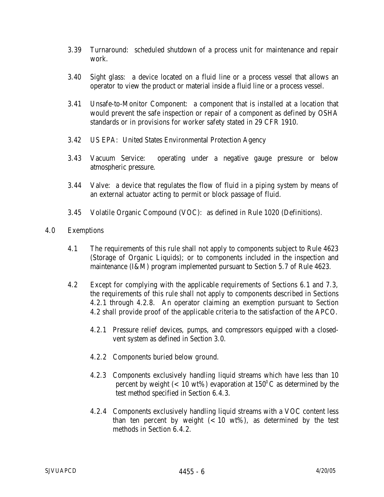- 3.39 Turnaround: scheduled shutdown of a process unit for maintenance and repair work.
- 3.40 Sight glass: a device located on a fluid line or a process vessel that allows an operator to view the product or material inside a fluid line or a process vessel.
- 3.41 Unsafe-to-Monitor Component: a component that is installed at a location that would prevent the safe inspection or repair of a component as defined by OSHA standards or in provisions for worker safety stated in 29 CFR 1910.
- 3.42 US EPA: United States Environmental Protection Agency
- 3.43 Vacuum Service: operating under a negative gauge pressure or below atmospheric pressure.
- 3.44 Valve: a device that regulates the flow of fluid in a piping system by means of an external actuator acting to permit or block passage of fluid.
- 3.45 Volatile Organic Compound (VOC): as defined in Rule 1020 (Definitions).

### 4.0 Exemptions

- 4.1 The requirements of this rule shall not apply to components subject to Rule 4623 (Storage of Organic Liquids); or to components included in the inspection and maintenance (I&M) program implemented pursuant to Section 5.7 of Rule 4623.
- 4.2 Except for complying with the applicable requirements of Sections 6.1 and 7.3, the requirements of this rule shall not apply to components described in Sections 4.2.1 through 4.2.8. An operator claiming an exemption pursuant to Section 4.2 shall provide proof of the applicable criteria to the satisfaction of the APCO.
	- 4.2.1 Pressure relief devices, pumps, and compressors equipped with a closedvent system as defined in Section 3.0.
	- 4.2.2 Components buried below ground.
	- 4.2.3 Components exclusively handling liquid streams which have less than 10 percent by weight ( $< 10 \text{ wt\%}$ ) evaporation at  $150^{\circ}$ C as determined by the test method specified in Section 6.4.3.
	- 4.2.4 Components exclusively handling liquid streams with a VOC content less than ten percent by weight  $(< 10 \text{ wt\%})$ , as determined by the test methods in Section 6.4.2.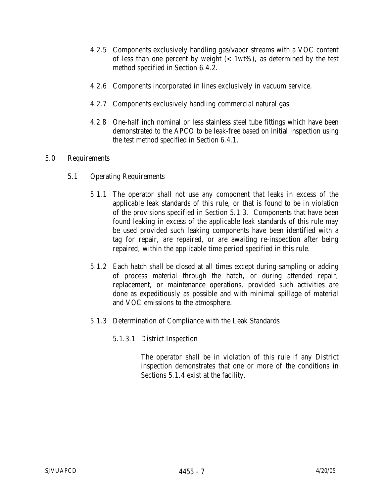- 4.2.5 Components exclusively handling gas/vapor streams with a VOC content of less than one percent by weight  $(<1wt\%)$ , as determined by the test method specified in Section 6.4.2.
- 4.2.6 Components incorporated in lines exclusively in vacuum service.
- 4.2.7 Components exclusively handling commercial natural gas.
- 4.2.8 One-half inch nominal or less stainless steel tube fittings which have been demonstrated to the APCO to be leak-free based on initial inspection using the test method specified in Section 6.4.1.

### 5.0 Requirements

- 5.1 Operating Requirements
	- 5.1.1 The operator shall not use any component that leaks in excess of the applicable leak standards of this rule, or that is found to be in violation of the provisions specified in Section 5.1.3. Components that have been found leaking in excess of the applicable leak standards of this rule may be used provided such leaking components have been identified with a tag for repair, are repaired, or are awaiting re-inspection after being repaired, within the applicable time period specified in this rule.
	- 5.1.2 Each hatch shall be closed at all times except during sampling or adding of process material through the hatch, or during attended repair, replacement, or maintenance operations, provided such activities are done as expeditiously as possible and with minimal spillage of material and VOC emissions to the atmosphere.
	- 5.1.3 Determination of Compliance with the Leak Standards
		- 5.1.3.1 District Inspection

The operator shall be in violation of this rule if any District inspection demonstrates that one or more of the conditions in Sections 5.1.4 exist at the facility.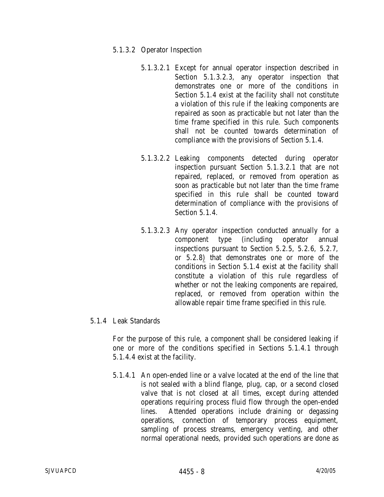#### 5.1.3.2 Operator Inspection

- 5.1.3.2.1 Except for annual operator inspection described in Section 5.1.3.2.3, any operator inspection that demonstrates one or more of the conditions in Section 5.1.4 exist at the facility shall not constitute a violation of this rule if the leaking components are repaired as soon as practicable but not later than the time frame specified in this rule. Such components shall not be counted towards determination of compliance with the provisions of Section 5.1.4.
- 5.1.3.2.2 Leaking components detected during operator inspection pursuant Section 5.1.3.2.1 that are not repaired, replaced, or removed from operation as soon as practicable but not later than the time frame specified in this rule shall be counted toward determination of compliance with the provisions of Section 5.1.4.
- 5.1.3.2.3 Any operator inspection conducted annually for a component type (including operator annual inspections pursuant to Section 5.2.5, 5.2.6, 5.2.7, or 5.2.8) that demonstrates one or more of the conditions in Section 5.1.4 exist at the facility shall constitute a violation of this rule regardless of whether or not the leaking components are repaired, replaced, or removed from operation within the allowable repair time frame specified in this rule.

## 5.1.4 Leak Standards

For the purpose of this rule, a component shall be considered leaking if one or more of the conditions specified in Sections 5.1.4.1 through 5.1.4.4 exist at the facility.

5.1.4.1 An open-ended line or a valve located at the end of the line that is not sealed with a blind flange, plug, cap, or a second closed valve that is not closed at all times, except during attended operations requiring process fluid flow through the open-ended lines. Attended operations include draining or degassing operations, connection of temporary process equipment, sampling of process streams, emergency venting, and other normal operational needs, provided such operations are done as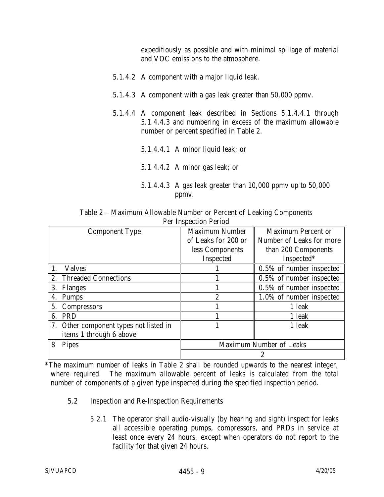expeditiously as possible and with minimal spillage of material and VOC emissions to the atmosphere.

- 5.1.4.2 A component with a major liquid leak.
- 5.1.4.3 A component with a gas leak greater than 50,000 ppmv.
- 5.1.4.4 A component leak described in Sections 5.1.4.4.1 through 5.1.4.4.3 and numbering in excess of the maximum allowable number or percent specified in Table 2.
	- 5.1.4.4.1 A minor liquid leak; or
	- 5.1.4.4.2 A minor gas leak; or
	- 5.1.4.4.3 A gas leak greater than 10,000 ppmv up to 50,000 ppmv.

| $\sim$ $\sim$ $\sim$ $\sim$ $\sim$                                  |  |  |  |  |  |  |
|---------------------------------------------------------------------|--|--|--|--|--|--|
| <b>Per Inspection Period</b>                                        |  |  |  |  |  |  |
| Table 2 – Maximum Allowable Number or Percent of Leaking Components |  |  |  |  |  |  |

| <b>Component Type</b>                  | <b>Maximum Number</b>   | <b>Maximum Percent or</b> |
|----------------------------------------|-------------------------|---------------------------|
|                                        | of Leaks for 200 or     | Number of Leaks for more  |
|                                        | less Components         | than 200 Components       |
|                                        | Inspected               | Inspected*                |
| <b>Valves</b>                          |                         | 0.5% of number inspected  |
| <b>Threaded Connections</b><br>2.      |                         | 0.5% of number inspected  |
| 3.<br><b>Flanges</b>                   |                         | 0.5% of number inspected  |
| <b>Pumps</b>                           | $\overline{2}$          | 1.0% of number inspected  |
| 5. Compressors                         |                         | 1 leak                    |
| <b>PRD</b><br>6.                       |                         | 1 leak                    |
| 7. Other component types not listed in |                         | 1 leak                    |
| items 1 through 6 above                |                         |                           |
| <b>Pipes</b>                           | Maximum Number of Leaks |                           |
|                                        | 2                       |                           |

\*The maximum number of leaks in Table 2 shall be rounded upwards to the nearest integer, where required. The maximum allowable percent of leaks is calculated from the total number of components of a given type inspected during the specified inspection period.

- 5.2 Inspection and Re-Inspection Requirements
	- 5.2.1 The operator shall audio-visually (by hearing and sight) inspect for leaks all accessible operating pumps, compressors, and PRDs in service at least once every 24 hours, except when operators do not report to the facility for that given 24 hours.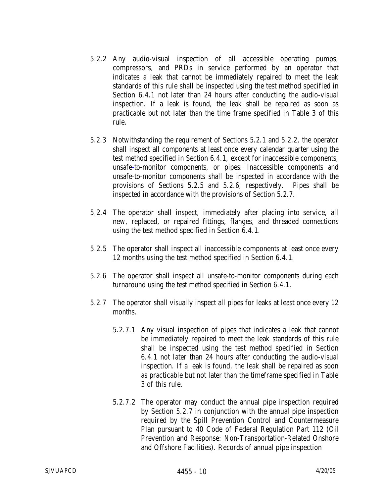- 5.2.2 Any audio-visual inspection of all accessible operating pumps, compressors, and PRDs in service performed by an operator that indicates a leak that cannot be immediately repaired to meet the leak standards of this rule shall be inspected using the test method specified in Section 6.4.1 not later than 24 hours after conducting the audio-visual inspection. If a leak is found, the leak shall be repaired as soon as practicable but not later than the time frame specified in Table 3 of this rule.
- 5.2.3 Notwithstanding the requirement of Sections 5.2.1 and 5.2.2, the operator shall inspect all components at least once every calendar quarter using the test method specified in Section 6.4.1, except for inaccessible components, unsafe-to-monitor components, or pipes. Inaccessible components and unsafe-to-monitor components shall be inspected in accordance with the provisions of Sections 5.2.5 and 5.2.6, respectively. Pipes shall be inspected in accordance with the provisions of Section 5.2.7.
- 5.2.4 The operator shall inspect, immediately after placing into service, all new, replaced, or repaired fittings, flanges, and threaded connections using the test method specified in Section 6.4.1.
- 5.2.5 The operator shall inspect all inaccessible components at least once every 12 months using the test method specified in Section 6.4.1.
- 5.2.6 The operator shall inspect all unsafe-to-monitor components during each turnaround using the test method specified in Section 6.4.1.
- 5.2.7 The operator shall visually inspect all pipes for leaks at least once every 12 months.
	- 5.2.7.1 Any visual inspection of pipes that indicates a leak that cannot be immediately repaired to meet the leak standards of this rule shall be inspected using the test method specified in Section 6.4.1 not later than 24 hours after conducting the audio-visual inspection. If a leak is found, the leak shall be repaired as soon as practicable but not later than the timeframe specified in Table 3 of this rule.
	- 5.2.7.2 The operator may conduct the annual pipe inspection required by Section 5.2.7 in conjunction with the annual pipe inspection required by the Spill Prevention Control and Countermeasure Plan pursuant to 40 Code of Federal Regulation Part 112 (Oil Prevention and Response: Non-Transportation-Related Onshore and Offshore Facilities). Records of annual pipe inspection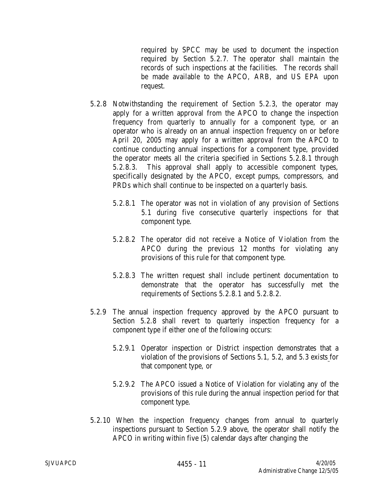required by SPCC may be used to document the inspection required by Section 5.2.7. The operator shall maintain the records of such inspections at the facilities. The records shall be made available to the APCO, ARB, and US EPA upon request.

- 5.2.8 Notwithstanding the requirement of Section 5.2.3, the operator may apply for a written approval from the APCO to change the inspection frequency from quarterly to annually for a component type, or an operator who is already on an annual inspection frequency on or before April 20, 2005 may apply for a written approval from the APCO to continue conducting annual inspections for a component type, provided the operator meets all the criteria specified in Sections 5.2.8.1 through 5.2.8.3. This approval shall apply to accessible component types, specifically designated by the APCO, except pumps, compressors, and PRDs which shall continue to be inspected on a quarterly basis.
	- 5.2.8.1 The operator was not in violation of any provision of Sections 5.1 during five consecutive quarterly inspections for that component type.
	- 5.2.8.2 The operator did not receive a Notice of Violation from the APCO during the previous 12 months for violating any provisions of this rule for that component type.
	- 5.2.8.3 The written request shall include pertinent documentation to demonstrate that the operator has successfully met the requirements of Sections 5.2.8.1 and 5.2.8.2.
- 5.2.9 The annual inspection frequency approved by the APCO pursuant to Section 5.2.8 shall revert to quarterly inspection frequency for a component type if either one of the following occurs:
	- 5.2.9.1 Operator inspection or District inspection demonstrates that a violation of the provisions of Sections 5.1, 5.2, and 5.3 exists for that component type, or
	- 5.2.9.2 The APCO issued a Notice of Violation for violating any of the provisions of this rule during the annual inspection period for that component type.
- 5.2.10 When the inspection frequency changes from annual to quarterly inspections pursuant to Section 5.2.9 above, the operator shall notify the APCO in writing within five (5) calendar days after changing the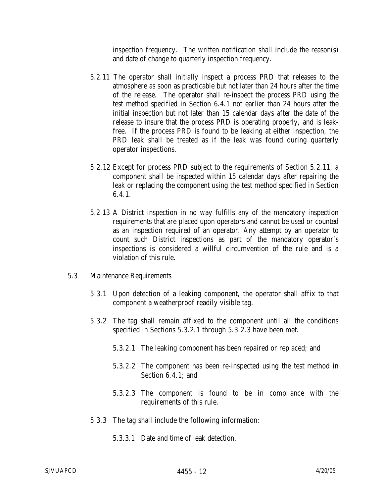inspection frequency. The written notification shall include the reason(s) and date of change to quarterly inspection frequency.

- 5.2.11 The operator shall initially inspect a process PRD that releases to the atmosphere as soon as practicable but not later than 24 hours after the time of the release. The operator shall re-inspect the process PRD using the test method specified in Section 6.4.1 not earlier than 24 hours after the initial inspection but not later than 15 calendar days after the date of the release to insure that the process PRD is operating properly, and is leakfree. If the process PRD is found to be leaking at either inspection, the PRD leak shall be treated as if the leak was found during quarterly operator inspections.
- 5.2.12 Except for process PRD subject to the requirements of Section 5.2.11, a component shall be inspected within 15 calendar days after repairing the leak or replacing the component using the test method specified in Section  $6.4.1.$
- 5.2.13 A District inspection in no way fulfills any of the mandatory inspection requirements that are placed upon operators and cannot be used or counted as an inspection required of an operator. Any attempt by an operator to count such District inspections as part of the mandatory operator's inspections is considered a willful circumvention of the rule and is a violation of this rule.
- 5.3 Maintenance Requirements
	- 5.3.1 Upon detection of a leaking component, the operator shall affix to that component a weatherproof readily visible tag.
	- 5.3.2 The tag shall remain affixed to the component until all the conditions specified in Sections 5.3.2.1 through 5.3.2.3 have been met.
		- 5.3.2.1 The leaking component has been repaired or replaced; and
		- 5.3.2.2 The component has been re-inspected using the test method in Section 6.4.1; and
		- 5.3.2.3 The component is found to be in compliance with the requirements of this rule.
	- 5.3.3 The tag shall include the following information:
		- 5.3.3.1 Date and time of leak detection.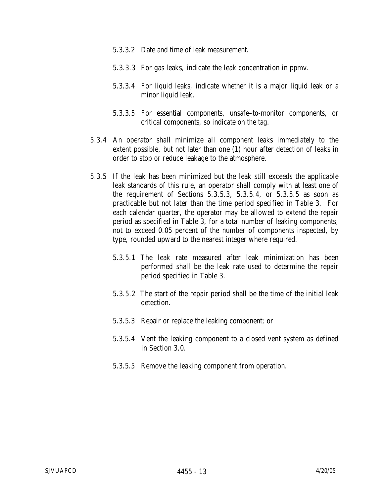- 5.3.3.2 Date and time of leak measurement.
- 5.3.3.3 For gas leaks, indicate the leak concentration in ppmv.
- 5.3.3.4 For liquid leaks, indicate whether it is a major liquid leak or a minor liquid leak.
- 5.3.3.5 For essential components, unsafe–to-monitor components, or critical components, so indicate on the tag.
- 5.3.4 An operator shall minimize all component leaks immediately to the extent possible, but not later than one (1) hour after detection of leaks in order to stop or reduce leakage to the atmosphere.
- 5.3.5 If the leak has been minimized but the leak still exceeds the applicable leak standards of this rule, an operator shall comply with at least one of the requirement of Sections 5.3.5.3, 5.3.5.4, or 5.3.5.5 as soon as practicable but not later than the time period specified in Table 3. For each calendar quarter, the operator may be allowed to extend the repair period as specified in Table 3, for a total number of leaking components, not to exceed 0.05 percent of the number of components inspected, by type, rounded upward to the nearest integer where required.
	- 5.3.5.1 The leak rate measured after leak minimization has been performed shall be the leak rate used to determine the repair period specified in Table 3.
	- 5.3.5.2 The start of the repair period shall be the time of the initial leak detection.
	- 5.3.5.3 Repair or replace the leaking component; or
	- 5.3.5.4 Vent the leaking component to a closed vent system as defined in Section 3.0.
	- 5.3.5.5 Remove the leaking component from operation.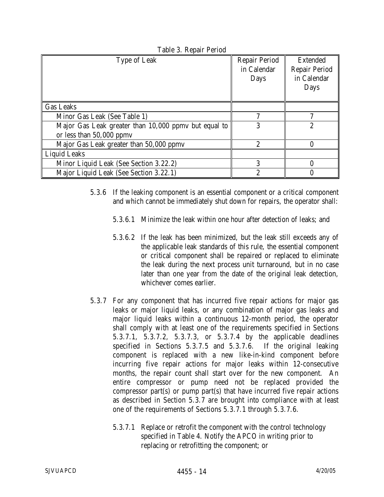| <b>Type of Leak</b>                                  | <b>Repair Period</b><br>in Calendar | <b>Extended</b><br><b>Repair Period</b> |
|------------------------------------------------------|-------------------------------------|-----------------------------------------|
|                                                      | Days                                | in Calendar<br>Days                     |
|                                                      |                                     |                                         |
| <b>Gas Leaks</b>                                     |                                     |                                         |
| Minor Gas Leak (See Table 1)                         | 7                                   | ~                                       |
| Major Gas Leak greater than 10,000 ppmy but equal to | 3                                   | $\overline{c}$                          |
| or less than $50,000$ ppmv                           |                                     |                                         |
| Major Gas Leak greater than 50,000 ppmv              | $\overline{2}$                      | 0                                       |
| <b>Liquid Leaks</b>                                  |                                     |                                         |
| Minor Liquid Leak (See Section 3.22.2)               | 3                                   |                                         |
| Major Liquid Leak (See Section 3.22.1)               | 2                                   |                                         |

Table 3. Repair Period

- 5.3.6 If the leaking component is an essential component or a critical component and which cannot be immediately shut down for repairs, the operator shall:
	- 5.3.6.1 Minimize the leak within one hour after detection of leaks; and
	- 5.3.6.2 If the leak has been minimized, but the leak still exceeds any of the applicable leak standards of this rule, the essential component or critical component shall be repaired or replaced to eliminate the leak during the next process unit turnaround, but in no case later than one year from the date of the original leak detection, whichever comes earlier.
- 5.3.7 For any component that has incurred five repair actions for major gas leaks or major liquid leaks, or any combination of major gas leaks and major liquid leaks within a continuous 12-month period, the operator shall comply with at least one of the requirements specified in Sections 5.3.7.1, 5.3.7.2, 5.3.7.3, or 5.3.7.4 by the applicable deadlines specified in Sections 5.3.7.5 and 5.3.7.6. If the original leaking component is replaced with a new like-in-kind component before incurring five repair actions for major leaks within 12-consecutive months, the repair count shall start over for the new component. An entire compressor or pump need not be replaced provided the compressor part(s) or pump part(s) that have incurred five repair actions as described in Section 5.3.7 are brought into compliance with at least one of the requirements of Sections 5.3.7.1 through 5.3.7.6.
	- 5.3.7.1 Replace or retrofit the component with the control technology specified in Table 4. Notify the APCO in writing prior to replacing or retrofitting the component; or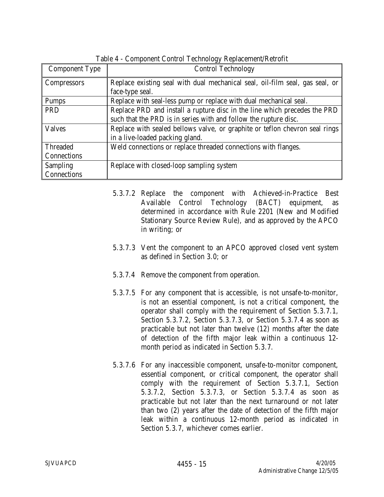| <b>Component Type</b> | <b>Control Technology</b>                                                    |
|-----------------------|------------------------------------------------------------------------------|
| <b>Compressors</b>    | Replace existing seal with dual mechanical seal, oil-film seal, gas seal, or |
|                       | face-type seal.                                                              |
| <b>Pumps</b>          | Replace with seal-less pump or replace with dual mechanical seal.            |
| PRD                   | Replace PRD and install a rupture disc in the line which precedes the PRD    |
|                       | such that the PRD is in series with and follow the rupture disc.             |
| <b>Valves</b>         | Replace with sealed bellows valve, or graphite or teflon chevron seal rings  |
|                       | in a live-loaded packing gland.                                              |
| <b>Threaded</b>       | Weld connections or replace threaded connections with flanges.               |
| Connections           |                                                                              |
| <b>Sampling</b>       | Replace with closed-loop sampling system                                     |
| Connections           |                                                                              |

Table 4 - Component Control Technology Replacement/Retrofit

- 5.3.7.2 Replace the component with Achieved-in-Practice Best Available Control Technology (BACT) equipment, as determined in accordance with Rule 2201 (New and Modified Stationary Source Review Rule), and as approved by the APCO in writing; or
- 5.3.7.3 Vent the component to an APCO approved closed vent system as defined in Section 3.0; or
- 5.3.7.4 Remove the component from operation.
- 5.3.7.5 For any component that is accessible, is not unsafe-to-monitor, is not an essential component, is not a critical component, the operator shall comply with the requirement of Section 5.3.7.1, Section 5.3.7.2, Section 5.3.7.3, or Section 5.3.7.4 as soon as practicable but not later than twelve (12) months after the date of detection of the fifth major leak within a continuous 12 month period as indicated in Section 5.3.7.
- 5.3.7.6 For any inaccessible component, unsafe-to-monitor component, essential component, or critical component, the operator shall comply with the requirement of Section 5.3.7.1, Section 5.3.7.2, Section 5.3.7.3, or Section 5.3.7.4 as soon as practicable but not later than the next turnaround or not later than two (2) years after the date of detection of the fifth major leak within a continuous 12-month period as indicated in Section 5.3.7, whichever comes earlier.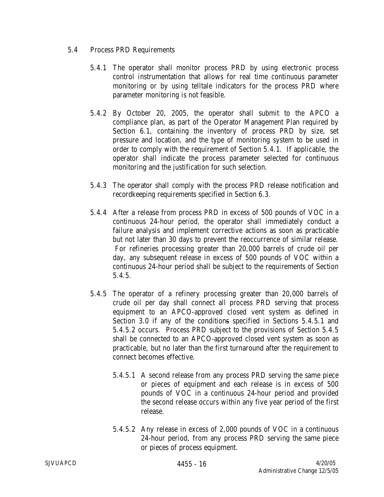## 5.4 Process PRD Requirements

- 5.4.1 The operator shall monitor process PRD by using electronic process control instrumentation that allows for real time continuous parameter monitoring or by using telltale indicators for the process PRD where parameter monitoring is not feasible.
- 5.4.2 By October 20, 2005, the operator shall submit to the APCO a compliance plan, as part of the Operator Management Plan required by Section 6.1, containing the inventory of process PRD by size, set pressure and location, and the type of monitoring system to be used in order to comply with the requirement of Section 5.4.1. If applicable, the operator shall indicate the process parameter selected for continuous monitoring and the justification for such selection.
- 5.4.3 The operator shall comply with the process PRD release notification and recordkeeping requirements specified in Section 6.3.
- 5.4.4 After a release from process PRD in excess of 500 pounds of VOC in a continuous 24-hour period, the operator shall immediately conduct a failure analysis and implement corrective actions as soon as practicable but not later than 30 days to prevent the reoccurrence of similar release. For refineries processing greater than 20,000 barrels of crude oil per day, any subsequent release in excess of 500 pounds of VOC within a continuous 24-hour period shall be subject to the requirements of Section 5.4.5.
- 5.4.5 The operator of a refinery processing greater than 20,000 barrels of crude oil per day shall connect all process PRD serving that process equipment to an APCO-approved closed vent system as defined in Section 3.0 if any of the conditions specified in Sections 5.4.5.1 and 5.4.5.2 occurs. Process PRD subject to the provisions of Section 5.4.5 shall be connected to an APCO-approved closed vent system as soon as practicable, but no later than the first turnaround after the requirement to connect becomes effective.
	- 5.4.5.1 A second release from any process PRD serving the same piece or pieces of equipment and each release is in excess of 500 pounds of VOC in a continuous 24-hour period and provided the second release occurs within any five year period of the first release.
	- 5.4.5.2 Any release in excess of 2,000 pounds of VOC in a continuous 24-hour period, from any process PRD serving the same piece or pieces of process equipment.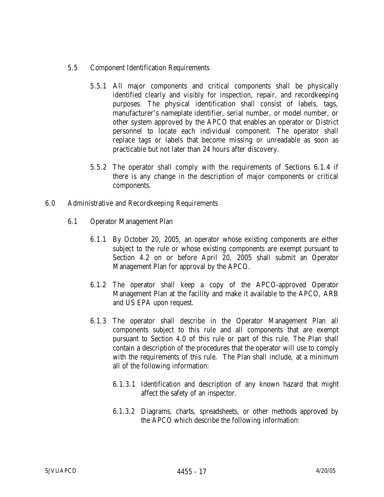## 5.5 Component Identification Requirements

- 5.5.1 All major components and critical components shall be physically identified clearly and visibly for inspection, repair, and recordkeeping purposes. The physical identification shall consist of labels, tags, manufacturer's nameplate identifier, serial number, or model number, or other system approved by the APCO that enables an operator or District personnel to locate each individual component. The operator shall replace tags or labels that become missing or unreadable as soon as practicable but not later than 24 hours after discovery.
- 5.5.2 The operator shall comply with the requirements of Sections 6.1.4 if there is any change in the description of major components or critical components.
- 6.0 Administrative and Recordkeeping Requirements
	- 6.1 Operator Management Plan
		- 6.1.1 By October 20, 2005, an operator whose existing components are either subject to the rule or whose existing components are exempt pursuant to Section 4.2 on or before April 20, 2005 shall submit an Operator Management Plan for approval by the APCO.
		- 6.1.2 The operator shall keep a copy of the APCO-approved Operator Management Plan at the facility and make it available to the APCO, ARB and US EPA upon request.
		- 6.1.3 The operator shall describe in the Operator Management Plan all components subject to this rule and all components that are exempt pursuant to Section 4.0 of this rule or part of this rule. The Plan shall contain a description of the procedures that the operator will use to comply with the requirements of this rule. The Plan shall include, at a minimum all of the following information:
			- 6.1.3.1 Identification and description of any known hazard that might affect the safety of an inspector.
			- 6.1.3.2 Diagrams, charts, spreadsheets, or other methods approved by the APCO which describe the following information: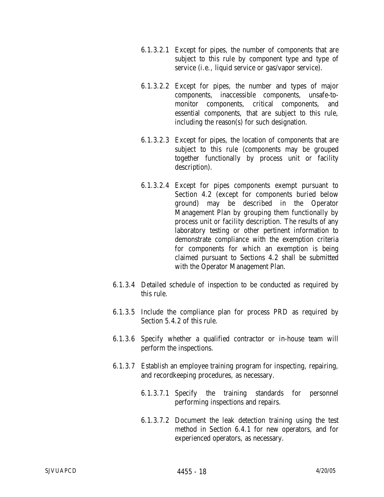- 6.1.3.2.1 Except for pipes, the number of components that are subject to this rule by component type and type of service (i.e., liquid service or gas/vapor service).
- 6.1.3.2.2 Except for pipes, the number and types of major components, inaccessible components, unsafe-tomonitor components, critical components, and essential components, that are subject to this rule, including the reason(s) for such designation.
- 6.1.3.2.3 Except for pipes, the location of components that are subject to this rule (components may be grouped together functionally by process unit or facility description).
- 6.1.3.2.4 Except for pipes components exempt pursuant to Section 4.2 (except for components buried below ground) may be described in the Operator Management Plan by grouping them functionally by process unit or facility description. The results of any laboratory testing or other pertinent information to demonstrate compliance with the exemption criteria for components for which an exemption is being claimed pursuant to Sections 4.2 shall be submitted with the Operator Management Plan.
- 6.1.3.4 Detailed schedule of inspection to be conducted as required by this rule.
- 6.1.3.5 Include the compliance plan for process PRD as required by Section 5.4.2 of this rule.
- 6.1.3.6 Specify whether a qualified contractor or in-house team will perform the inspections.
- 6.1.3.7 Establish an employee training program for inspecting, repairing, and recordkeeping procedures, as necessary.
	- 6.1.3.7.1 Specify the training standards for personnel performing inspections and repairs.
	- 6.1.3.7.2 Document the leak detection training using the test method in Section 6.4.1 for new operators, and for experienced operators, as necessary.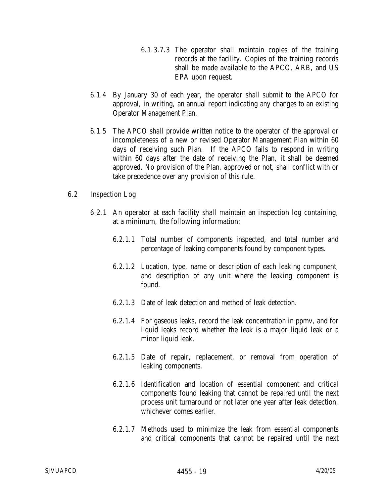- 6.1.3.7.3 The operator shall maintain copies of the training records at the facility. Copies of the training records shall be made available to the APCO, ARB, and US EPA upon request.
- 6.1.4 By January 30 of each year, the operator shall submit to the APCO for approval, in writing, an annual report indicating any changes to an existing Operator Management Plan.
- 6.1.5 The APCO shall provide written notice to the operator of the approval or incompleteness of a new or revised Operator Management Plan within 60 days of receiving such Plan. If the APCO fails to respond in writing within 60 days after the date of receiving the Plan, it shall be deemed approved. No provision of the Plan, approved or not, shall conflict with or take precedence over any provision of this rule.

### 6.2 Inspection Log

- 6.2.1 An operator at each facility shall maintain an inspection log containing, at a minimum, the following information:
	- 6.2.1.1 Total number of components inspected, and total number and percentage of leaking components found by component types.
	- 6.2.1.2 Location, type, name or description of each leaking component, and description of any unit where the leaking component is found.
	- 6.2.1.3 Date of leak detection and method of leak detection.
	- 6.2.1.4 For gaseous leaks, record the leak concentration in ppmv, and for liquid leaks record whether the leak is a major liquid leak or a minor liquid leak.
	- 6.2.1.5 Date of repair, replacement, or removal from operation of leaking components.
	- 6.2.1.6 Identification and location of essential component and critical components found leaking that cannot be repaired until the next process unit turnaround or not later one year after leak detection, whichever comes earlier.
	- 6.2.1.7 Methods used to minimize the leak from essential components and critical components that cannot be repaired until the next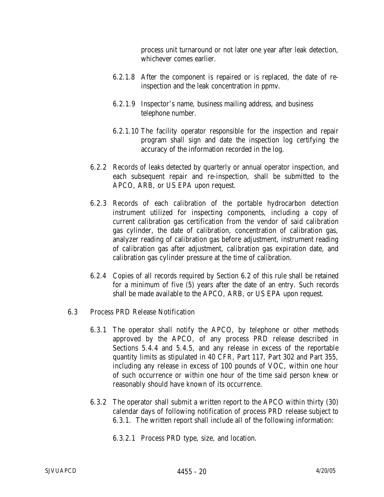process unit turnaround or not later one year after leak detection, whichever comes earlier.

- 6.2.1.8 After the component is repaired or is replaced, the date of reinspection and the leak concentration in ppmv.
- 6.2.1.9 Inspector's name, business mailing address, and business telephone number.
- 6.2.1.10 The facility operator responsible for the inspection and repair program shall sign and date the inspection log certifying the accuracy of the information recorded in the log.
- 6.2.2 Records of leaks detected by quarterly or annual operator inspection, and each subsequent repair and re-inspection, shall be submitted to the APCO, ARB, or US EPA upon request.
- 6.2.3 Records of each calibration of the portable hydrocarbon detection instrument utilized for inspecting components, including a copy of current calibration gas certification from the vendor of said calibration gas cylinder, the date of calibration, concentration of calibration gas, analyzer reading of calibration gas before adjustment, instrument reading of calibration gas after adjustment, calibration gas expiration date, and calibration gas cylinder pressure at the time of calibration.
- 6.2.4 Copies of all records required by Section 6.2 of this rule shall be retained for a minimum of five (5) years after the date of an entry. Such records shall be made available to the APCO, ARB, or US EPA upon request.
- 6.3 Process PRD Release Notification
	- 6.3.1 The operator shall notify the APCO, by telephone or other methods approved by the APCO, of any process PRD release described in Sections 5.4.4 and 5.4.5, and any release in excess of the reportable quantity limits as stipulated in 40 CFR, Part 117, Part 302 and Part 355, including any release in excess of 100 pounds of VOC, within one hour of such occurrence or within one hour of the time said person knew or reasonably should have known of its occurrence.
	- 6.3.2 The operator shall submit a written report to the APCO within thirty (30) calendar days of following notification of process PRD release subject to 6.3.1. The written report shall include all of the following information:
		- 6.3.2.1 Process PRD type, size, and location.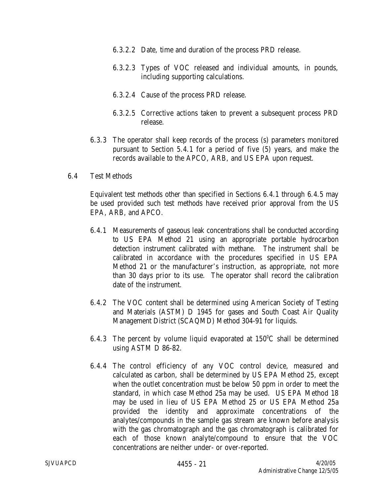- 6.3.2.2 Date, time and duration of the process PRD release.
- 6.3.2.3 Types of VOC released and individual amounts, in pounds, including supporting calculations.
- 6.3.2.4 Cause of the process PRD release.
- 6.3.2.5 Corrective actions taken to prevent a subsequent process PRD release.
- 6.3.3 The operator shall keep records of the process (s) parameters monitored pursuant to Section 5.4.1 for a period of five (5) years, and make the records available to the APCO, ARB, and US EPA upon request.
- 6.4 Test Methods

Equivalent test methods other than specified in Sections 6.4.1 through 6.4.5 may be used provided such test methods have received prior approval from the US EPA, ARB, and APCO.

- 6.4.1 Measurements of gaseous leak concentrations shall be conducted according to US EPA Method 21 using an appropriate portable hydrocarbon detection instrument calibrated with methane. The instrument shall be calibrated in accordance with the procedures specified in US EPA Method 21 or the manufacturer's instruction, as appropriate, not more than 30 days prior to its use. The operator shall record the calibration date of the instrument.
- 6.4.2 The VOC content shall be determined using American Society of Testing and Materials (ASTM) D 1945 for gases and South Coast Air Quality Management District (SCAQMD) Method 304-91 for liquids.
- 6.4.3 The percent by volume liquid evaporated at  $150^{\circ}$ C shall be determined using ASTM D 86-82.
- 6.4.4 The control efficiency of any VOC control device, measured and calculated as carbon, shall be determined by US EPA Method 25, except when the outlet concentration must be below 50 ppm in order to meet the standard, in which case Method 25a may be used. US EPA Method 18 may be used in lieu of US EPA Method 25 or US EPA Method 25a provided the identity and approximate concentrations of the analytes/compounds in the sample gas stream are known before analysis with the gas chromatograph and the gas chromatograph is calibrated for each of those known analyte/compound to ensure that the VOC concentrations are neither under- or over-reported.